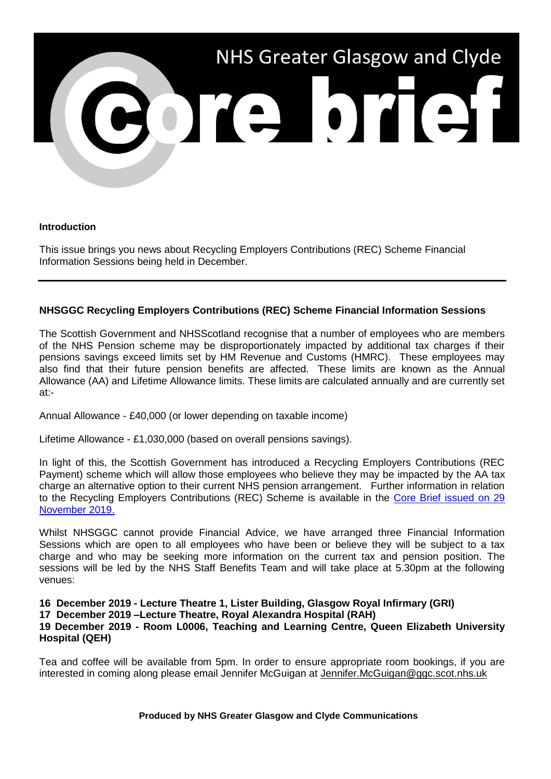

## **Introduction**

This issue brings you news about Recycling Employers Contributions (REC) Scheme Financial Information Sessions being held in December.

## **NHSGGC Recycling Employers Contributions (REC) Scheme Financial Information Sessions**

The Scottish Government and NHSScotland recognise that a number of employees who are members of the NHS Pension scheme may be disproportionately impacted by additional tax charges if their pensions savings exceed limits set by HM Revenue and Customs (HMRC). These employees may also find that their future pension benefits are affected. These limits are known as the Annual Allowance (AA) and Lifetime Allowance limits. These limits are calculated annually and are currently set at:-

Annual Allowance - £40,000 (or lower depending on taxable income)

Lifetime Allowance - £1,030,000 (based on overall pensions savings).

In light of this, the Scottish Government has introduced a Recycling Employers Contributions (REC Payment) scheme which will allow those employees who believe they may be impacted by the AA tax charge an alternative option to their current NHS pension arrangement. Further information in relation to the Recycling Employers Contributions (REC) Scheme is available in the [Core Brief issued on 29](https://www.nhsggc.org.uk/media/257058/108-core-brief-29-november-2019.pdf)  [November 2019.](https://www.nhsggc.org.uk/media/257058/108-core-brief-29-november-2019.pdf)

Whilst NHSGGC cannot provide Financial Advice, we have arranged three Financial Information Sessions which are open to all employees who have been or believe they will be subject to a tax charge and who may be seeking more information on the current tax and pension position. The sessions will be led by the NHS Staff Benefits Team and will take place at 5.30pm at the following venues:

**16 December 2019 - Lecture Theatre 1, Lister Building, Glasgow Royal Infirmary (GRI) 17 December 2019 –Lecture Theatre, Royal Alexandra Hospital (RAH) 19 December 2019 - Room L0006, Teaching and Learning Centre, Queen Elizabeth University Hospital (QEH)**

Tea and coffee will be available from 5pm. In order to ensure appropriate room bookings, if you are interested in coming along please email Jennifer McGuigan at Jennifer.McGuigan@ggc.scot.nhs.uk